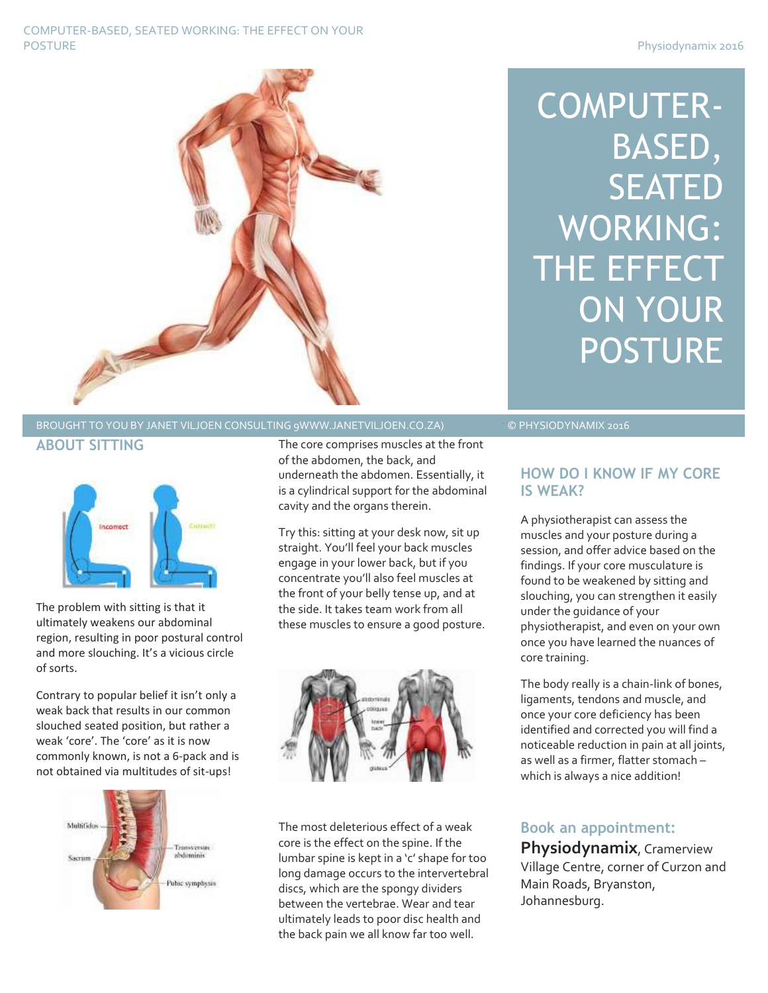#### COMPUTER-BASED, SEATED WORKING: THE EFFECT ON YOUR POSTURE POSTURE PROSTURE PROSTURE PROSTURE PROSTURE PROSTURE PROSTURE PROSTURE PROSTURE PROSTURE PROSTURE PROSTURE PROSTURE PROSTURE PROSTURE PROSTURE PROSTURE PROSTURE PROSTURE PROSTURE PROSTURE PROSTURE PROSTURE PROSTURE



### BROUGHT TO YOU BY JANET VILJOEN CONSULTING 9WWW.JANETVILJOEN.CO.ZA) © PHYSIODYNAMIX 2016 **ABOUT SITTING**





The problem with sitting is that it ultimately weakens our abdominal region, resulting in poor postural control and more slouching. It's a vicious circle of sorts.

Contrary to popular belief it isn't only a weak back that results in our common slouched seated position, but rather a weak 'core'. The 'core' as it is now commonly known, is not a 6-pack and is not obtained via multitudes of sit-ups!



The core comprises muscles at the front of the abdomen, the back, and underneath the abdomen. Essentially, it is a cylindrical support for the abdominal cavity and the organs therein.

Try this: sitting at your desk now, sit up straight. You'll feel your back muscles engage in your lower back, but if you concentrate you'll also feel muscles at the front of your belly tense up, and at the side. It takes team work from all these muscles to ensure a good posture.



The most deleterious effect of a weak core is the effect on the spine. If the lumbar spine is kept in a 'c' shape for too long damage occurs to the intervertebral discs, which are the spongy dividers between the vertebrae. Wear and tear ultimately leads to poor disc health and the back pain we all know far too well.

## **HOW DO I KNOW IF MY CORE IS WEAK?**

A physiotherapist can assess the muscles and your posture during a session, and offer advice based on the findings. If your core musculature is found to be weakened by sitting and slouching, you can strengthen it easily under the guidance of your physiotherapist, and even on your own once you have learned the nuances of core training.

The body really is a chain-link of bones, ligaments, tendons and muscle, and once your core deficiency has been identified and corrected you will find a noticeable reduction in pain at all joints, as well as a firmer, flatter stomach – which is always a nice addition!

# **Book an appointment:**

**Physiodynamix**, Cramerview Village Centre, corner of Curzon and Main Roads, Bryanston, Johannesburg.